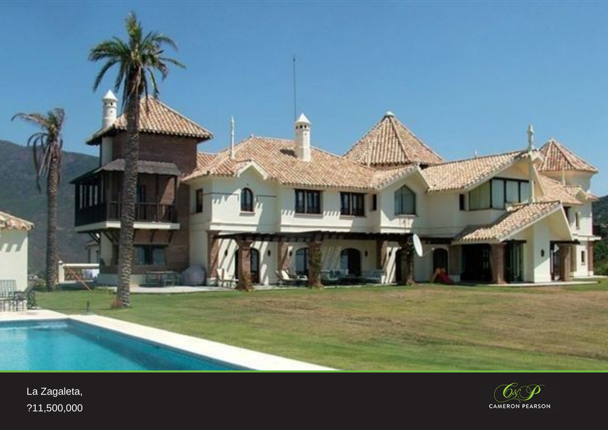



La Zagaleta, ?11,500,000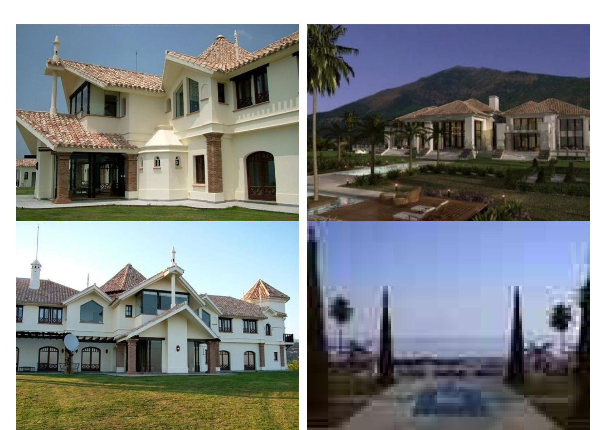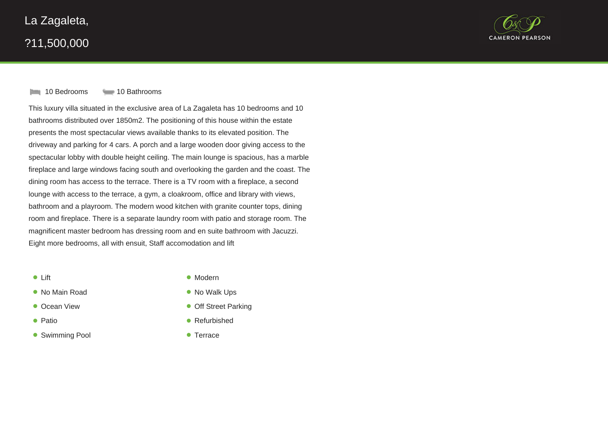

## ?11,500,000

## 10 Bedrooms 10 Bathrooms

This luxury villa situated in the exclusive area of La Zagaleta has 10 bedrooms and 10 bathrooms distributed over 1850m2. The positioning of this house within the estate presents the most spectacular views available thanks to its elevated position. The driveway and parking for 4 cars. A porch and a large wooden door giving access to the spectacular lobby with double height ceiling. The main lounge is spacious, has a marble fireplace and large windows facing south and overlooking the garden and the coast. The dining room has access to the terrace. There is a TV room with a fireplace, a second lounge with access to the terrace, a gym, a cloakroom, office and library with views, bathroom and a playroom. The modern wood kitchen with granite counter tops, dining room and fireplace. There is a separate laundry room with patio and storage room. The magnificent master bedroom has dressing room and en suite bathroom with Jacuzzi. Eight more bedrooms, all with ensuit, Staff accomodation and lift

- 
- $\bullet$  Lift Modern Modern Modern  $\bullet$  Modern • Lift  $\bullet$
- No Main Road
- Ocean View
- $\bullet$  Patio
- Swimming Pool **Canadian Contract Contract Contract Contract Contract Contract Contract Contract Contract Contract Contract Contract Contract Contract Contract Contract Contract Contract Contract Contract Contract Contrac**
- 
- $\bullet$  No Walk Ups
- **Off Street Parking**
- Patio Refurbished
	-